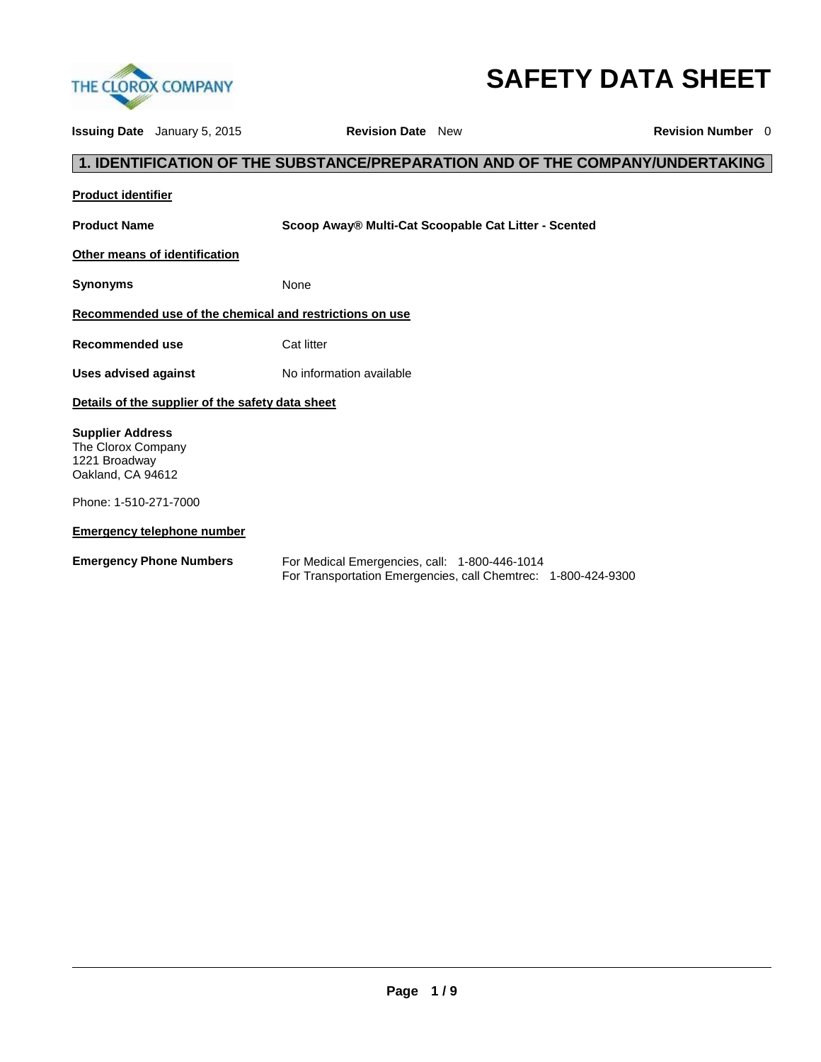

# **SAFETY DATA SHEET**

| <b>Issuing Date</b> January 5, 2015                                                 |                                                  | <b>Revision Date</b> New                                |                                                                               | <b>Revision Number</b> 0 |
|-------------------------------------------------------------------------------------|--------------------------------------------------|---------------------------------------------------------|-------------------------------------------------------------------------------|--------------------------|
|                                                                                     |                                                  |                                                         | 1. IDENTIFICATION OF THE SUBSTANCE/PREPARATION AND OF THE COMPANY/UNDERTAKING |                          |
| <b>Product identifier</b>                                                           |                                                  |                                                         |                                                                               |                          |
| <b>Product Name</b>                                                                 |                                                  |                                                         | Scoop Away® Multi-Cat Scoopable Cat Litter - Scented                          |                          |
| Other means of identification                                                       |                                                  |                                                         |                                                                               |                          |
| <b>Synonyms</b>                                                                     |                                                  | None                                                    |                                                                               |                          |
|                                                                                     |                                                  | Recommended use of the chemical and restrictions on use |                                                                               |                          |
| <b>Recommended use</b>                                                              |                                                  | Cat litter                                              |                                                                               |                          |
| Uses advised against                                                                |                                                  | No information available                                |                                                                               |                          |
|                                                                                     | Details of the supplier of the safety data sheet |                                                         |                                                                               |                          |
| <b>Supplier Address</b><br>The Clorox Company<br>1221 Broadway<br>Oakland, CA 94612 |                                                  |                                                         |                                                                               |                          |
| Phone: 1-510-271-7000                                                               |                                                  |                                                         |                                                                               |                          |
| <b>Emergency telephone number</b>                                                   |                                                  |                                                         |                                                                               |                          |
| <b>Emergency Phone Numbers</b>                                                      |                                                  | For Medical Emergencies, call: 1-800-446-1014           | For Transportation Emergencies, call Chemtrec: 1-800-424-9300                 |                          |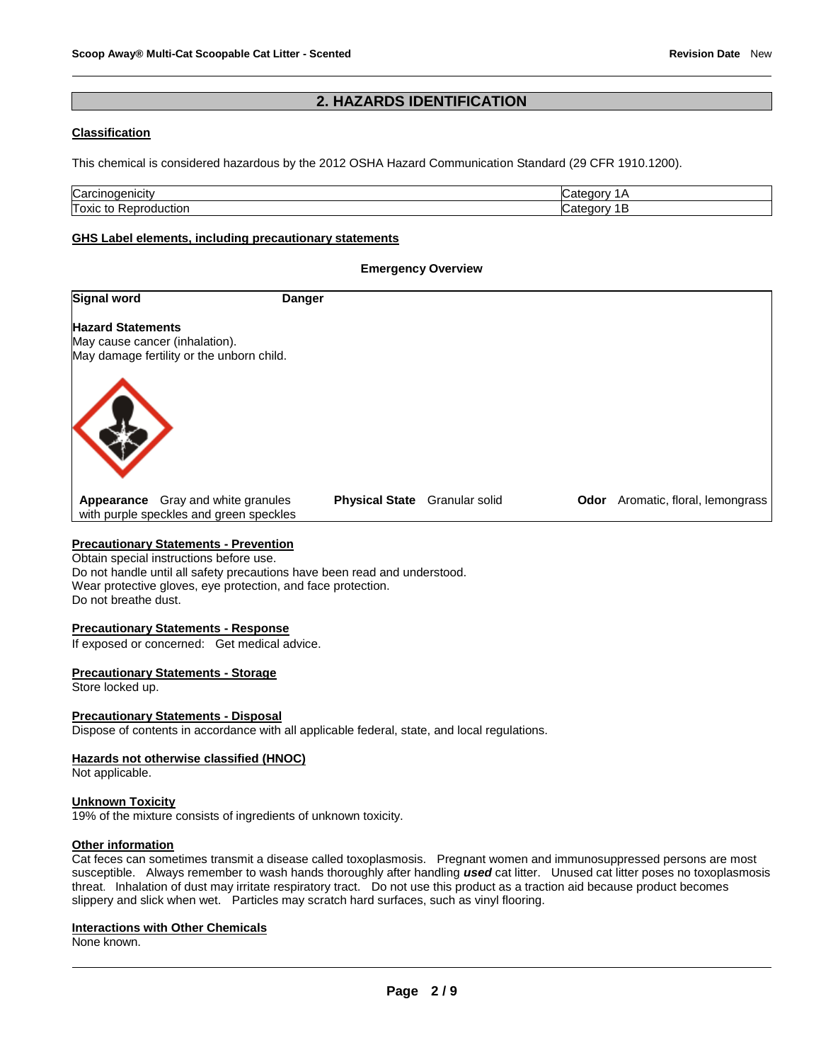# **2. HAZARDS IDENTIFICATION**

#### **Classification**

This chemical is considered hazardous by the 2012 OSHA Hazard Communication Standard (29 CFR 1910.1200).

| Carcir<br>11CII V<br>uu            | ⊇∩∩r∨ |
|------------------------------------|-------|
| Toxic<br>ictior<br>.<br>ιΟ<br>,,,, | າດກາ  |

#### **GHS Label elements, including precautionary statements**

#### **Emergency Overview**

| <b>Signal word</b>       |                                                                                      | <b>Danger</b> |                               |  |                                          |
|--------------------------|--------------------------------------------------------------------------------------|---------------|-------------------------------|--|------------------------------------------|
| <b>Hazard Statements</b> | May cause cancer (inhalation).<br>May damage fertility or the unborn child.          |               |                               |  |                                          |
|                          |                                                                                      |               |                               |  |                                          |
|                          | <b>Appearance</b> Gray and white granules<br>with purple speckles and green speckles |               | Physical State Granular solid |  | <b>Odor</b> Aromatic, floral, lemongrass |

Obtain special instructions before use. Do not handle until all safety precautions have been read and understood. Wear protective gloves, eye protection, and face protection. Do not breathe dust.

#### **Precautionary Statements - Response**

If exposed or concerned: Get medical advice.

#### **Precautionary Statements - Storage**

Store locked up.

#### **Precautionary Statements - Disposal**

Dispose of contents in accordance with all applicable federal, state, and local regulations.

#### **Hazards not otherwise classified (HNOC)**

Not applicable.

#### **Unknown Toxicity**

19% of the mixture consists of ingredients of unknown toxicity.

#### **Other information**

Cat feces can sometimes transmit a disease called toxoplasmosis. Pregnant women and immunosuppressed persons are most susceptible. Always remember to wash hands thoroughly after handling used cat litter. Unused cat litter poses no toxoplasmosis threat. Inhalation of dust may irritate respiratory tract. Do not use this product as a traction aid because product becomes slippery and slick when wet. Particles may scratch hard surfaces, such as vinyl flooring.

#### **Interactions with Other Chemicals**

None known.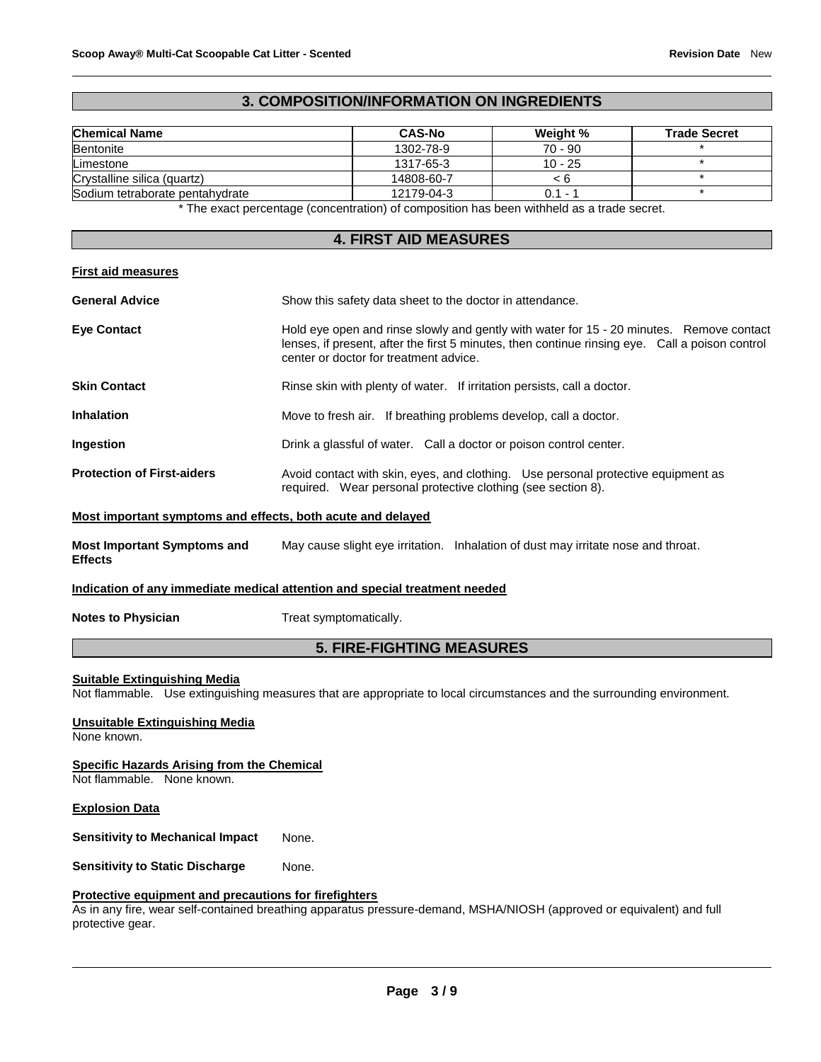#### **3. COMPOSITION/INFORMATION ON INGREDIENTS**

| <b>Chemical Name</b>            | <b>CAS-No</b> | Weight %  | <b>Trade Secret</b> |
|---------------------------------|---------------|-----------|---------------------|
| <b>Bentonite</b>                | 1302-78-9     | $70 - 90$ |                     |
| Limestone                       | 1317-65-3     | $10 - 25$ |                     |
| Crystalline silica (quartz)     | 14808-60-7    | < 6       |                     |
| Sodium tetraborate pentahydrate | 12179-04-3    | $0.1 -$   |                     |

\* The exact percentage (concentration) of composition has been withheld as a trade secret.

#### **4. FIRST AID MEASURES**

#### **First aid measures**

| <b>General Advice</b>             | Show this safety data sheet to the doctor in attendance.                                                                                                                                                                              |
|-----------------------------------|---------------------------------------------------------------------------------------------------------------------------------------------------------------------------------------------------------------------------------------|
| <b>Eye Contact</b>                | Hold eye open and rinse slowly and gently with water for 15 - 20 minutes. Remove contact<br>lenses, if present, after the first 5 minutes, then continue rinsing eye. Call a poison control<br>center or doctor for treatment advice. |
| <b>Skin Contact</b>               | Rinse skin with plenty of water. If irritation persists, call a doctor.                                                                                                                                                               |
| <b>Inhalation</b>                 | Move to fresh air. If breathing problems develop, call a doctor.                                                                                                                                                                      |
| <b>Ingestion</b>                  | Drink a glassful of water. Call a doctor or poison control center.                                                                                                                                                                    |
| <b>Protection of First-aiders</b> | Avoid contact with skin, eyes, and clothing. Use personal protective equipment as<br>required. Wear personal protective clothing (see section 8).                                                                                     |
|                                   | Most important symptoms and effects, both acute and delayed                                                                                                                                                                           |

**Most Important Symptoms and Effects**  May cause slight eye irritation. Inhalation of dust may irritate nose and throat.

#### **Indication of any immediate medical attention and special treatment needed**

#### **Notes to Physician Treat symptomatically.**

#### **5. FIRE-FIGHTING MEASURES**

#### **Suitable Extinguishing Media**

Not flammable. Use extinguishing measures that are appropriate to local circumstances and the surrounding environment.

# **Unsuitable Extinguishing Media**

None known.

#### **Specific Hazards Arising from the Chemical**

Not flammable. None known.

#### **Explosion Data**

**Sensitivity to Mechanical Impact** None.

**Sensitivity to Static Discharge Mone.** 

#### **Protective equipment and precautions for firefighters**

As in any fire, wear self-contained breathing apparatus pressure-demand, MSHA/NIOSH (approved or equivalent) and full protective gear.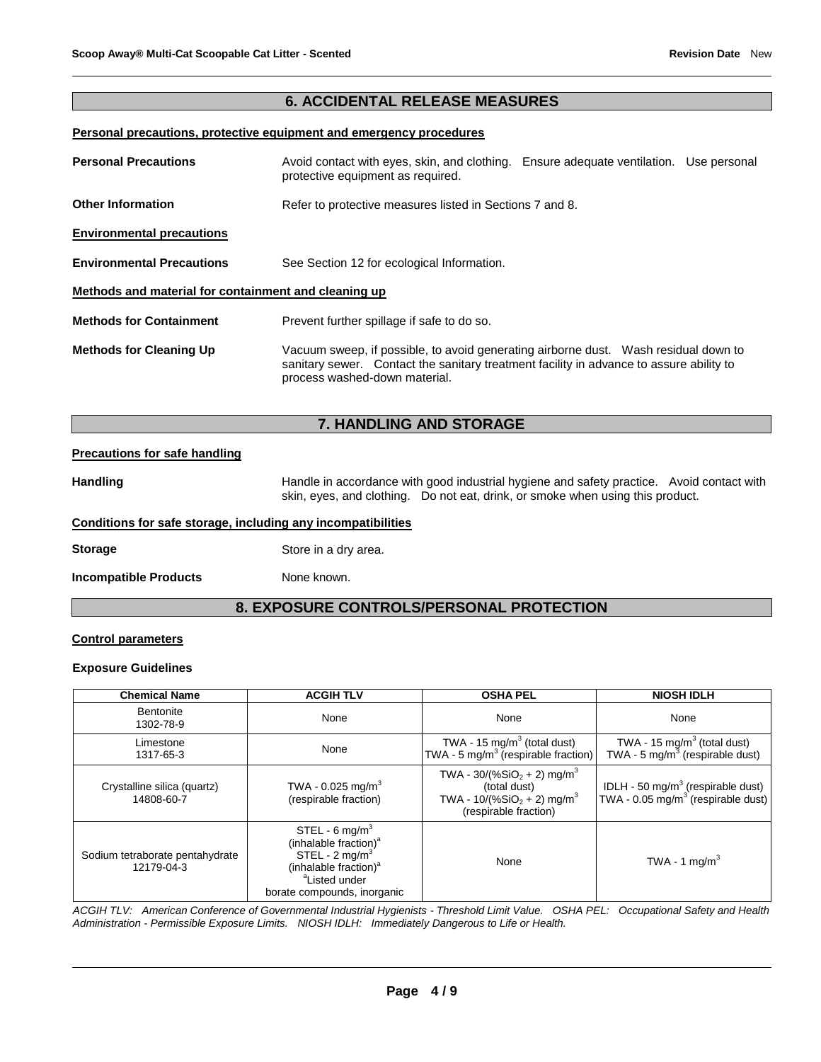### **6. ACCIDENTAL RELEASE MEASURES**

#### **Personal precautions, protective equipment and emergency procedures**

| <b>Personal Precautions</b>                          | Avoid contact with eyes, skin, and clothing. Ensure adequate ventilation. Use personal<br>protective equipment as required.                                                                                      |  |  |  |  |
|------------------------------------------------------|------------------------------------------------------------------------------------------------------------------------------------------------------------------------------------------------------------------|--|--|--|--|
| <b>Other Information</b>                             | Refer to protective measures listed in Sections 7 and 8.                                                                                                                                                         |  |  |  |  |
| <b>Environmental precautions</b>                     |                                                                                                                                                                                                                  |  |  |  |  |
| <b>Environmental Precautions</b>                     | See Section 12 for ecological Information.                                                                                                                                                                       |  |  |  |  |
| Methods and material for containment and cleaning up |                                                                                                                                                                                                                  |  |  |  |  |
| <b>Methods for Containment</b>                       | Prevent further spillage if safe to do so.                                                                                                                                                                       |  |  |  |  |
| <b>Methods for Cleaning Up</b>                       | Vacuum sweep, if possible, to avoid generating airborne dust.  Wash residual down to<br>sanitary sewer. Contact the sanitary treatment facility in advance to assure ability to<br>process washed-down material. |  |  |  |  |

# **7. HANDLING AND STORAGE**

#### **Precautions for safe handling**

Handling **Handle in accordance with good industrial hygiene and safety practice. Avoid contact with Avoid contact with** skin, eyes, and clothing. Do not eat, drink, or smoke when using this product.

#### **Conditions for safe storage, including any incompatibilities**

**Storage** Store in a dry area.

**Incompatible Products** None known.

# **8. EXPOSURE CONTROLS/PERSONAL PROTECTION**

#### **Control parameters**

#### **Exposure Guidelines**

| <b>Chemical Name</b>                          | <b>ACGIH TLV</b>                                                                                                                                                                              | <b>OSHA PEL</b>                                                                                                               | <b>NIOSH IDLH</b>                                                                               |
|-----------------------------------------------|-----------------------------------------------------------------------------------------------------------------------------------------------------------------------------------------------|-------------------------------------------------------------------------------------------------------------------------------|-------------------------------------------------------------------------------------------------|
| Bentonite<br>1302-78-9                        | None                                                                                                                                                                                          | None                                                                                                                          | None                                                                                            |
| Limestone<br>1317-65-3                        | None                                                                                                                                                                                          | TWA - 15 mg/m <sup>3</sup> (total dust)<br>TWA - 5 mg/m <sup>3</sup> (respirable fraction)                                    | TWA - 15 mg/m <sup>3</sup> (total dust)<br>TWA - 5 mg/m <sup>3</sup> (respirable dust)          |
| Crystalline silica (quartz)<br>14808-60-7     | TWA - $0.025$ mg/m <sup>3</sup><br>(respirable fraction)                                                                                                                                      | TWA - $30/(%SiO2 + 2)$ mg/m <sup>3</sup><br>(total dust)<br>TWA - $10/(%SiO2 + 2)$ mg/m <sup>3</sup><br>(respirable fraction) | IDLH - 50 mg/m <sup>3</sup> (respirable dust)<br>TWA - 0.05 mg/m <sup>3</sup> (respirable dust) |
| Sodium tetraborate pentahydrate<br>12179-04-3 | STEL - 6 mg/m <sup>3</sup><br>(inhalable fraction) <sup>a</sup><br>STEL - $2 \text{ mg/m}^3$<br>(inhalable fraction) <sup>a</sup><br><sup>a</sup> Listed under<br>borate compounds, inorganic | None                                                                                                                          | TWA - 1 mg/m <sup>3</sup>                                                                       |

*ACGIH TLV: American Conference of Governmental Industrial Hygienists - Threshold Limit Value. OSHA PEL: Occupational Safety and Health Administration - Permissible Exposure Limits. NIOSH IDLH: Immediately Dangerous to Life or Health.*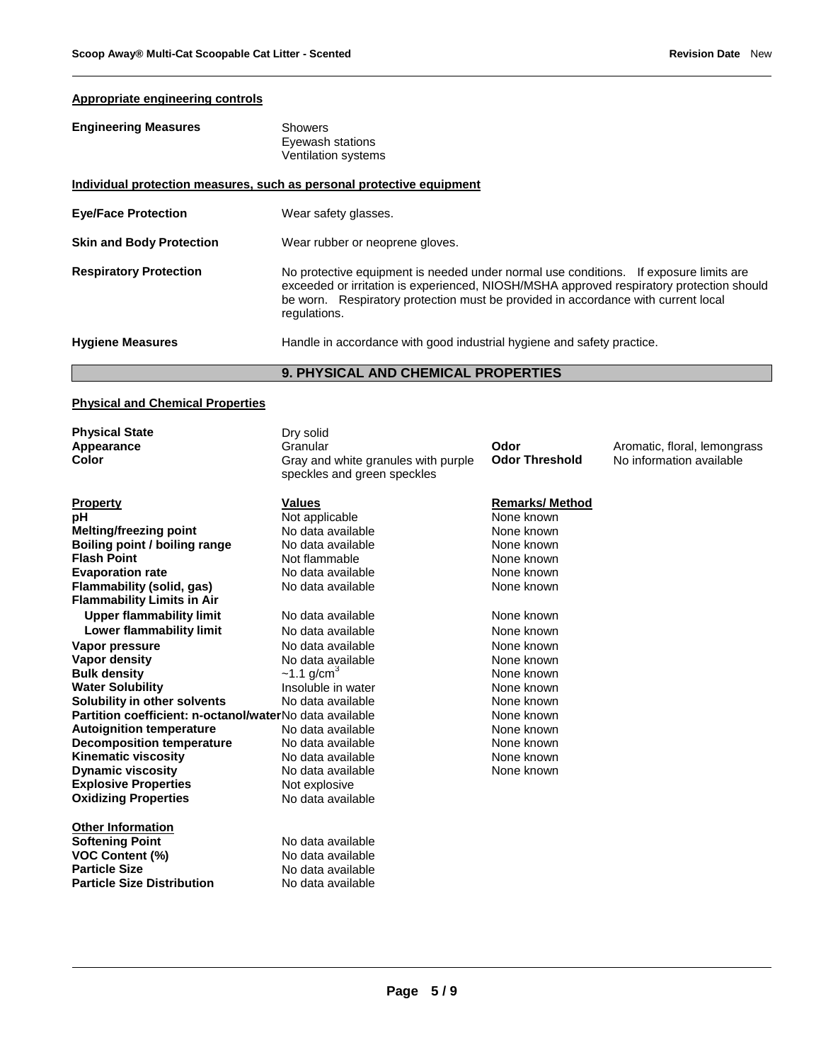# **Appropriate engineering controls**

| <b>Engineering Measures</b>                                           | Showers<br>Eyewash stations<br>Ventilation systems                                                                                                                                                                                                                                     |  |
|-----------------------------------------------------------------------|----------------------------------------------------------------------------------------------------------------------------------------------------------------------------------------------------------------------------------------------------------------------------------------|--|
| Individual protection measures, such as personal protective equipment |                                                                                                                                                                                                                                                                                        |  |
| <b>Eve/Face Protection</b>                                            | Wear safety glasses.                                                                                                                                                                                                                                                                   |  |
| <b>Skin and Body Protection</b>                                       | Wear rubber or neoprene gloves.                                                                                                                                                                                                                                                        |  |
| <b>Respiratory Protection</b>                                         | No protective equipment is needed under normal use conditions. If exposure limits are<br>exceeded or irritation is experienced, NIOSH/MSHA approved respiratory protection should<br>be worn. Respiratory protection must be provided in accordance with current local<br>regulations. |  |
| <b>Hygiene Measures</b>                                               | Handle in accordance with good industrial hygiene and safety practice.                                                                                                                                                                                                                 |  |

### **9. PHYSICAL AND CHEMICAL PROPERTIES**

### **Physical and Chemical Properties**

| <b>Physical State</b>                                   | Dry solid                           |                       |                              |
|---------------------------------------------------------|-------------------------------------|-----------------------|------------------------------|
| Appearance                                              | Granular                            | Odor                  | Aromatic, floral, lemongrass |
| Color                                                   | Gray and white granules with purple | <b>Odor Threshold</b> | No information available     |
|                                                         | speckles and green speckles         |                       |                              |
| <b>Property</b>                                         | <b>Values</b>                       | <b>Remarks/Method</b> |                              |
| рH                                                      | Not applicable                      | None known            |                              |
| Melting/freezing point                                  | No data available                   | None known            |                              |
| Boiling point / boiling range                           | No data available                   | None known            |                              |
| <b>Flash Point</b>                                      | Not flammable                       | None known            |                              |
| <b>Evaporation rate</b>                                 | No data available                   | None known            |                              |
| Flammability (solid, gas)                               | No data available                   | None known            |                              |
| <b>Flammability Limits in Air</b>                       |                                     |                       |                              |
| <b>Upper flammability limit</b>                         | No data available                   | None known            |                              |
| Lower flammability limit                                | No data available                   | None known            |                              |
| Vapor pressure                                          | No data available                   | None known            |                              |
| <b>Vapor density</b>                                    | No data available                   | None known            |                              |
| <b>Bulk density</b>                                     | $~1.1$ g/cm <sup>3</sup>            | None known            |                              |
| <b>Water Solubility</b>                                 | Insoluble in water                  | None known            |                              |
| Solubility in other solvents                            | No data available                   | None known            |                              |
| Partition coefficient: n-octanol/waterNo data available |                                     | None known            |                              |
| <b>Autoignition temperature</b>                         | No data available                   | None known            |                              |
| <b>Decomposition temperature</b>                        | No data available                   | None known            |                              |
| <b>Kinematic viscosity</b>                              | No data available                   | None known            |                              |
| <b>Dynamic viscosity</b>                                | No data available                   | None known            |                              |
| <b>Explosive Properties</b>                             | Not explosive                       |                       |                              |
| <b>Oxidizing Properties</b>                             | No data available                   |                       |                              |
| <b>Other Information</b>                                |                                     |                       |                              |
| <b>Softening Point</b>                                  | No data available                   |                       |                              |
| <b>VOC Content (%)</b>                                  | No data available                   |                       |                              |
| <b>Particle Size</b>                                    | No data available                   |                       |                              |
| <b>Particle Size Distribution</b>                       | No data available                   |                       |                              |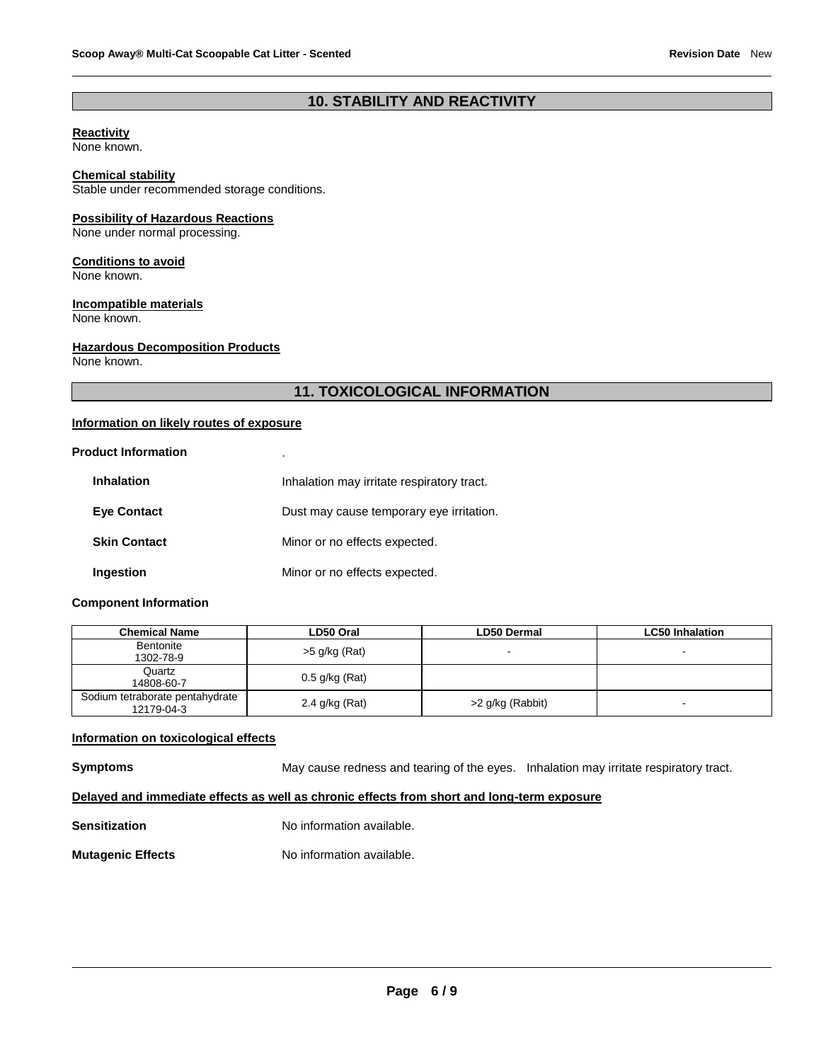# **10. STABILITY AND REACTIVITY**

#### **Reactivity**

None known.

#### **Chemical stability**

Stable under recommended storage conditions.

#### **Possibility of Hazardous Reactions**

None under normal processing.

#### **Conditions to avoid**

None known.

# **Incompatible materials**

None known.

#### **Hazardous Decomposition Products**

None known.

# **11. TOXICOLOGICAL INFORMATION**

#### **Information on likely routes of exposure**

#### **Product Information** .

| <b>Inhalation</b>   | Inhalation may irritate respiratory tract. |
|---------------------|--------------------------------------------|
| <b>Eye Contact</b>  | Dust may cause temporary eye irritation.   |
| <b>Skin Contact</b> | Minor or no effects expected.              |
| Ingestion           | Minor or no effects expected.              |

#### **Component Information**

| Chemical Name                                 | LD50 Oral        | LD50 Dermal              | <b>LC50 Inhalation</b> |
|-----------------------------------------------|------------------|--------------------------|------------------------|
| Bentonite<br>1302-78-9                        | $>5$ g/kg (Rat)  | $\overline{\phantom{0}}$ | $\blacksquare$         |
| Quartz<br>14808-60-7                          | $0.5$ g/kg (Rat) |                          |                        |
| Sodium tetraborate pentahydrate<br>12179-04-3 | 2.4 g/kg (Rat)   | >2 g/kg (Rabbit)         | -                      |

#### **Information on toxicological effects**

**Symptoms** May cause redness and tearing of the eyes. Inhalation may irritate respiratory tract.

# **Delayed and immediate effects as well as chronic effects from short and long-term exposure**

**Sensitization No information available.** 

#### **Mutagenic Effects No information available.**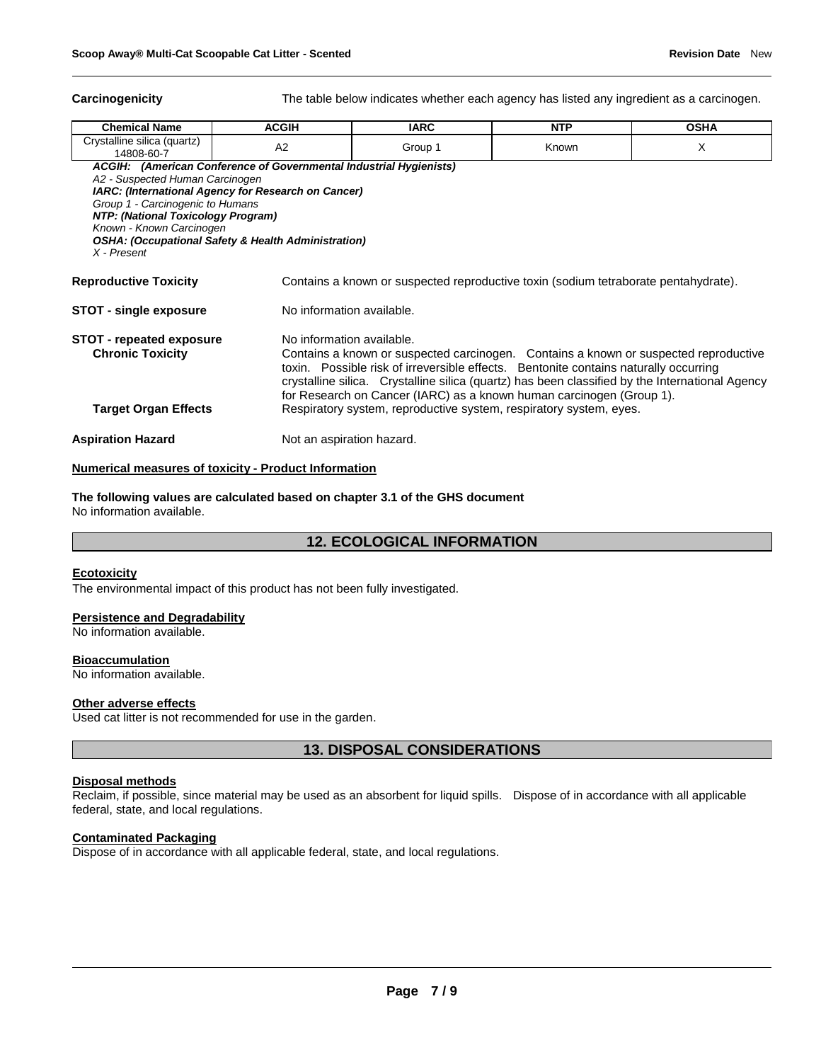**Carcinogenicity** The table below indicates whether each agency has listed any ingredient as a carcinogen.

| <b>Chemical Name</b>                                                                                                | <b>ACGIH</b>                                                       | <b>IARC</b>                                                                          | <b>NTP</b>                                                                           | <b>OSHA</b> |  |
|---------------------------------------------------------------------------------------------------------------------|--------------------------------------------------------------------|--------------------------------------------------------------------------------------|--------------------------------------------------------------------------------------|-------------|--|
| Crystalline silica (quartz)<br>14808-60-7                                                                           | A2                                                                 | Group 1                                                                              | Known                                                                                | X           |  |
|                                                                                                                     | ACGIH: (American Conference of Governmental Industrial Hygienists) |                                                                                      |                                                                                      |             |  |
| A2 - Suspected Human Carcinogen<br><b>IARC: (International Agency for Research on Cancer)</b>                       |                                                                    |                                                                                      |                                                                                      |             |  |
| Group 1 - Carcinogenic to Humans                                                                                    |                                                                    |                                                                                      |                                                                                      |             |  |
| <b>NTP: (National Toxicology Program)</b>                                                                           |                                                                    |                                                                                      |                                                                                      |             |  |
| Known - Known Carcinogen                                                                                            |                                                                    |                                                                                      |                                                                                      |             |  |
|                                                                                                                     | <b>OSHA: (Occupational Safety &amp; Health Administration)</b>     |                                                                                      |                                                                                      |             |  |
| X - Present                                                                                                         |                                                                    |                                                                                      |                                                                                      |             |  |
| <b>Reproductive Toxicity</b><br>Contains a known or suspected reproductive toxin (sodium tetraborate pentahydrate). |                                                                    |                                                                                      |                                                                                      |             |  |
| STOT - single exposure                                                                                              | No information available.                                          |                                                                                      |                                                                                      |             |  |
| <b>STOT - repeated exposure</b>                                                                                     | No information available.                                          |                                                                                      |                                                                                      |             |  |
| <b>Chronic Toxicity</b>                                                                                             |                                                                    |                                                                                      | Contains a known or suspected carcinogen. Contains a known or suspected reproductive |             |  |
|                                                                                                                     |                                                                    | toxin. Possible risk of irreversible effects. Bentonite contains naturally occurring |                                                                                      |             |  |
| crystalline silica. Crystalline silica (quartz) has been classified by the International Agency                     |                                                                    |                                                                                      |                                                                                      |             |  |
|                                                                                                                     |                                                                    |                                                                                      | for Research on Cancer (IARC) as a known human carcinogen (Group 1).                 |             |  |
| <b>Target Organ Effects</b>                                                                                         |                                                                    |                                                                                      | Respiratory system, reproductive system, respiratory system, eyes.                   |             |  |
| <b>Aspiration Hazard</b>                                                                                            | Not an aspiration hazard.                                          |                                                                                      |                                                                                      |             |  |

#### **Numerical measures of toxicity - Product Information**

**The following values are calculated based on chapter 3.1 of the GHS document** No information available.

# **12. ECOLOGICAL INFORMATION**

#### **Ecotoxicity**

The environmental impact of this product has not been fully investigated.

#### **Persistence and Degradability**

No information available.

#### **Bioaccumulation**

No information available.

#### **Other adverse effects**

Used cat litter is not recommended for use in the garden.

**13. DISPOSAL CONSIDERATIONS**

#### **Disposal methods**

Reclaim, if possible, since material may be used as an absorbent for liquid spills. Dispose of in accordance with all applicable federal, state, and local regulations.

#### **Contaminated Packaging**

Dispose of in accordance with all applicable federal, state, and local regulations.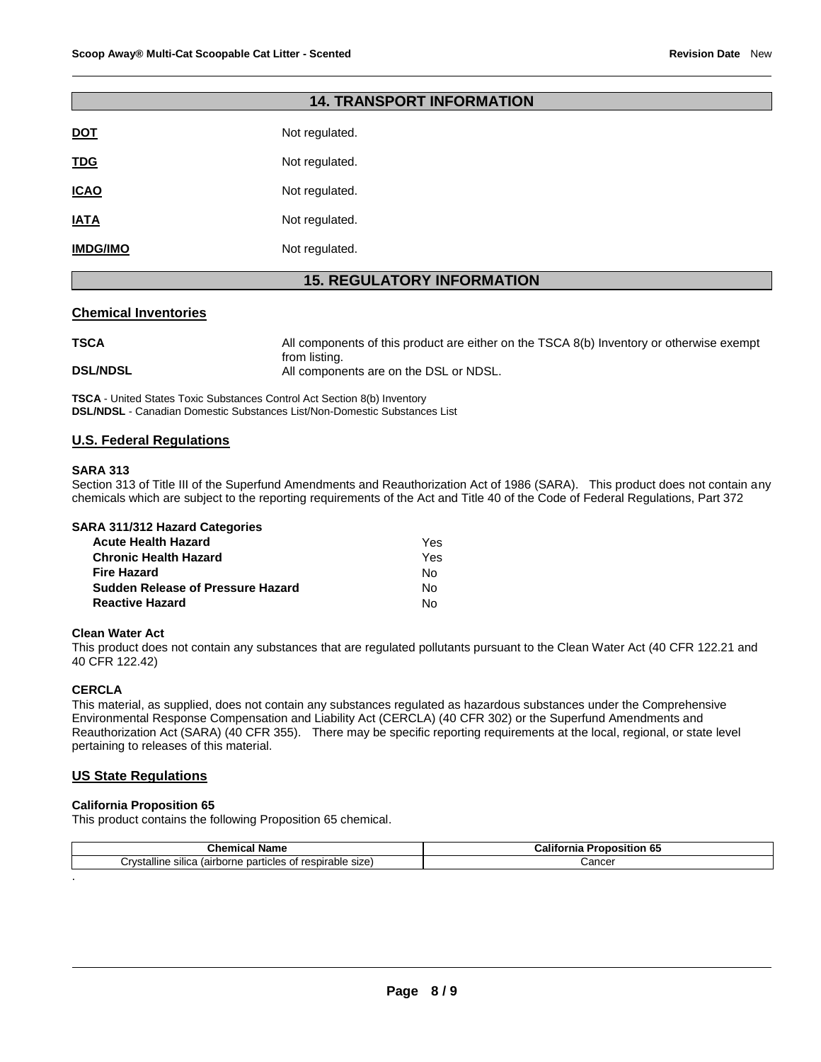| <b>14. TRANSPORT INFORMATION</b>  |                |  |  |  |
|-----------------------------------|----------------|--|--|--|
| <b>DOT</b>                        | Not regulated. |  |  |  |
| <b>TDG</b>                        | Not regulated. |  |  |  |
| <b>ICAO</b>                       | Not regulated. |  |  |  |
| <b>IATA</b>                       | Not regulated. |  |  |  |
| <b>IMDG/IMO</b>                   | Not regulated. |  |  |  |
| <b>15. REGULATORY INFORMATION</b> |                |  |  |  |

#### **Chemical Inventories**

| <b>TSCA</b>     | All components of this product are either on the TSCA 8(b) Inventory or otherwise exempt |
|-----------------|------------------------------------------------------------------------------------------|
|                 | from listing.                                                                            |
| <b>DSL/NDSL</b> | All components are on the DSL or NDSL.                                                   |

**TSCA** - United States Toxic Substances Control Act Section 8(b) Inventory **DSL/NDSL** - Canadian Domestic Substances List/Non-Domestic Substances List

#### **U.S. Federal Regulations**

#### **SARA 313**

Section 313 of Title III of the Superfund Amendments and Reauthorization Act of 1986 (SARA). This product does not contain any chemicals which are subject to the reporting requirements of the Act and Title 40 of the Code of Federal Regulations, Part 372

|  |  |  | <b>SARA 311/312 Hazard Categories</b> |
|--|--|--|---------------------------------------|
|--|--|--|---------------------------------------|

| <b>Acute Health Hazard</b>               | Yes. |
|------------------------------------------|------|
| <b>Chronic Health Hazard</b>             | Yes  |
| <b>Fire Hazard</b>                       | N٥   |
| <b>Sudden Release of Pressure Hazard</b> | N٥   |
| <b>Reactive Hazard</b>                   | N٥   |

#### **Clean Water Act**

This product does not contain any substances that are regulated pollutants pursuant to the Clean Water Act (40 CFR 122.21 and 40 CFR 122.42)

#### **CERCLA**

.

This material, as supplied, does not contain any substances regulated as hazardous substances under the Comprehensive Environmental Response Compensation and Liability Act (CERCLA) (40 CFR 302) or the Superfund Amendments and Reauthorization Act (SARA) (40 CFR 355). There may be specific reporting requirements at the local, regional, or state level pertaining to releases of this material.

#### **US State Regulations**

#### **California Proposition 65**

This product contains the following Proposition 65 chemical.

| .<br>⊺Name<br>mıca.<br>                                                                      | <br><b>Proposition 65</b><br>California |
|----------------------------------------------------------------------------------------------|-----------------------------------------|
| <br>irvstallineت<br>; of respirable<br>size<br>silica<br>particles<br>. (airborne<br>.<br>__ | `oncor<br>∪ancer<br>.                   |